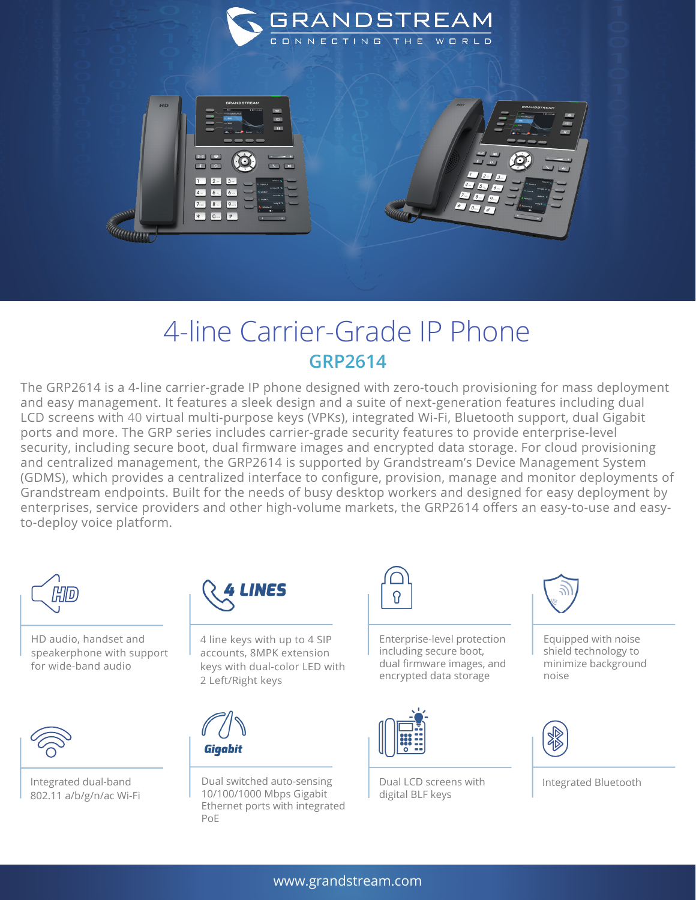



## 4-line Carrier-Grade IP Phone **GRP2614**

The GRP2614 is a 4-line carrier-grade IP phone designed with zero-touch provisioning for mass deployment and easy management. It features a sleek design and a suite of next-generation features including dual LCD screens with 40 virtual multi-purpose keys (VPKs), integrated Wi-Fi, Bluetooth support, dual Gigabit ports and more. The GRP series includes carrier-grade security features to provide enterprise-level security, including secure boot, dual firmware images and encrypted data storage. For cloud provisioning and centralized management, the GRP2614 is supported by Grandstream's Device Management System (GDMS), which provides a centralized interface to configure, provision, manage and monitor deployments of Grandstream endpoints. Built for the needs of busy desktop workers and designed for easy deployment by enterprises, service providers and other high-volume markets, the GRP2614 offers an easy-to-use and easyto-deploy voice platform.



HD audio, handset and speakerphone with support for wide-band audio



Integrated dual-band 802.11 a/b/g/n/ac Wi-Fi



4 line keys with up to 4 SIP accounts, 8MPK extension keys with dual-color LED with 2 Left/Right keys



Dual switched auto-sensing 10/100/1000 Mbps Gigabit Ethernet ports with integrated PoE



Enterprise-level protection including secure boot, dual firmware images, and encrypted data storage



Dual LCD screens with digital BLF keys



Equipped with noise shield technology to minimize background noise



Integrated Bluetooth